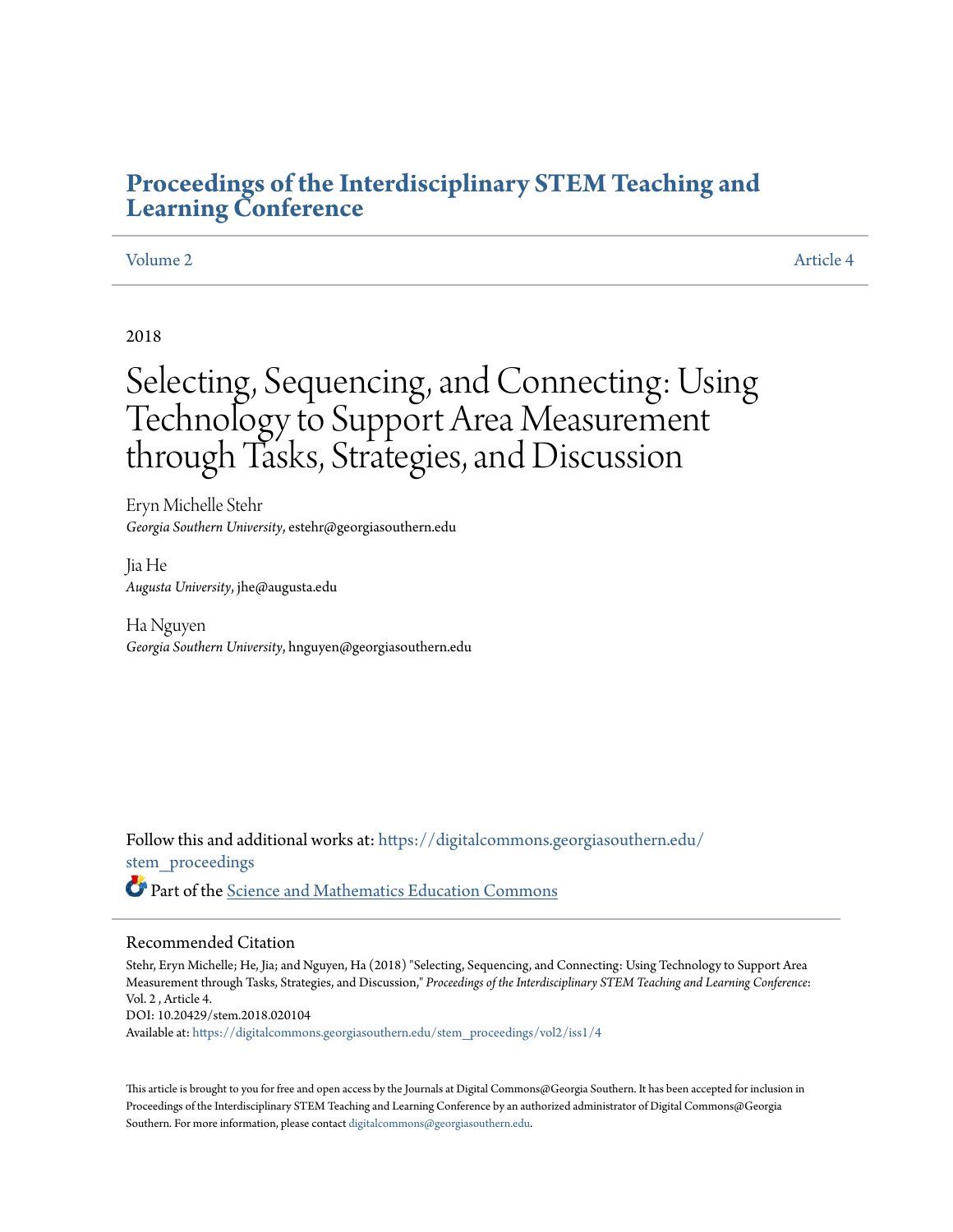# **[Proceedings of the Interdisciplinary STEM Teaching and](https://digitalcommons.georgiasouthern.edu/stem_proceedings?utm_source=digitalcommons.georgiasouthern.edu%2Fstem_proceedings%2Fvol2%2Fiss1%2F4&utm_medium=PDF&utm_campaign=PDFCoverPages) [Learning Conference](https://digitalcommons.georgiasouthern.edu/stem_proceedings?utm_source=digitalcommons.georgiasouthern.edu%2Fstem_proceedings%2Fvol2%2Fiss1%2F4&utm_medium=PDF&utm_campaign=PDFCoverPages)**

# [Volume 2](https://digitalcommons.georgiasouthern.edu/stem_proceedings/vol2?utm_source=digitalcommons.georgiasouthern.edu%2Fstem_proceedings%2Fvol2%2Fiss1%2F4&utm_medium=PDF&utm_campaign=PDFCoverPages) [Article 4](https://digitalcommons.georgiasouthern.edu/stem_proceedings/vol2/iss1/4?utm_source=digitalcommons.georgiasouthern.edu%2Fstem_proceedings%2Fvol2%2Fiss1%2F4&utm_medium=PDF&utm_campaign=PDFCoverPages)

# 2018

# Selecting, Sequencing, and Connecting: Using Technology to Support Area Measurement through Tasks, Strategies, and Discussion

Eryn Michelle Stehr *Georgia Southern University*, estehr@georgiasouthern.edu

Jia He *Augusta University*, jhe@augusta.edu

Ha Nguyen *Georgia Southern University*, hnguyen@georgiasouthern.edu

Follow this and additional works at: [https://digitalcommons.georgiasouthern.edu/](https://digitalcommons.georgiasouthern.edu/stem_proceedings?utm_source=digitalcommons.georgiasouthern.edu%2Fstem_proceedings%2Fvol2%2Fiss1%2F4&utm_medium=PDF&utm_campaign=PDFCoverPages) [stem\\_proceedings](https://digitalcommons.georgiasouthern.edu/stem_proceedings?utm_source=digitalcommons.georgiasouthern.edu%2Fstem_proceedings%2Fvol2%2Fiss1%2F4&utm_medium=PDF&utm_campaign=PDFCoverPages) Part of the [Science and Mathematics Education Commons](http://network.bepress.com/hgg/discipline/800?utm_source=digitalcommons.georgiasouthern.edu%2Fstem_proceedings%2Fvol2%2Fiss1%2F4&utm_medium=PDF&utm_campaign=PDFCoverPages)

#### Recommended Citation

Stehr, Eryn Michelle; He, Jia; and Nguyen, Ha (2018) "Selecting, Sequencing, and Connecting: Using Technology to Support Area Measurement through Tasks, Strategies, and Discussion," *Proceedings of the Interdisciplinary STEM Teaching and Learning Conference*: Vol. 2 , Article 4. DOI: 10.20429/stem.2018.020104

Available at: [https://digitalcommons.georgiasouthern.edu/stem\\_proceedings/vol2/iss1/4](https://digitalcommons.georgiasouthern.edu/stem_proceedings/vol2/iss1/4?utm_source=digitalcommons.georgiasouthern.edu%2Fstem_proceedings%2Fvol2%2Fiss1%2F4&utm_medium=PDF&utm_campaign=PDFCoverPages)

This article is brought to you for free and open access by the Journals at Digital Commons@Georgia Southern. It has been accepted for inclusion in Proceedings of the Interdisciplinary STEM Teaching and Learning Conference by an authorized administrator of Digital Commons@Georgia Southern. For more information, please contact [digitalcommons@georgiasouthern.edu.](mailto:digitalcommons@georgiasouthern.edu)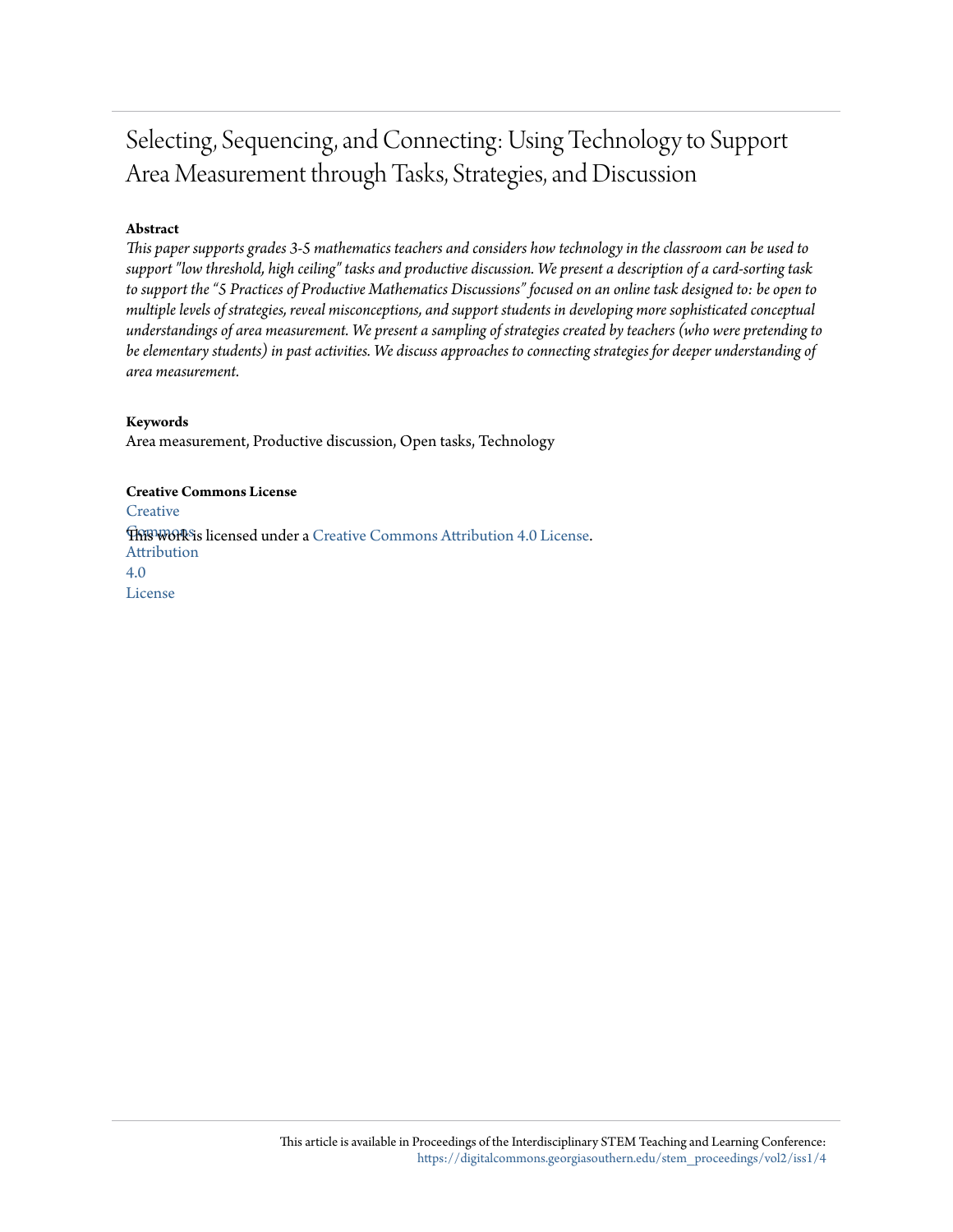# Selecting, Sequencing, and Connecting: Using Technology to Support Area Measurement through Tasks, Strategies, and Discussion

# **Abstract**

*This paper supports grades 3-5 mathematics teachers and considers how technology in the classroom can be used to support "low threshold, high ceiling" tasks and productive discussion. We present a description of a card-sorting task to support the "5 Practices of Productive Mathematics Discussions" focused on an online task designed to: be open to multiple levels of strategies, reveal misconceptions, and support students in developing more sophisticated conceptual understandings of area measurement. We present a sampling of strategies created by teachers (who were pretending to be elementary students) in past activities. We discuss approaches to connecting strategies for deeper understanding of area measurement.*

# **Keywords**

Area measurement, Productive discussion, Open tasks, Technology

### **Creative Commons License**

**[Creative](http://creativecommons.org/licenses/by/4.0/) This work is licensed under a** [Creative Commons Attribution 4.0 License.](http://creativecommons.org/licenses/by/4.0/) Attribution 4.0 License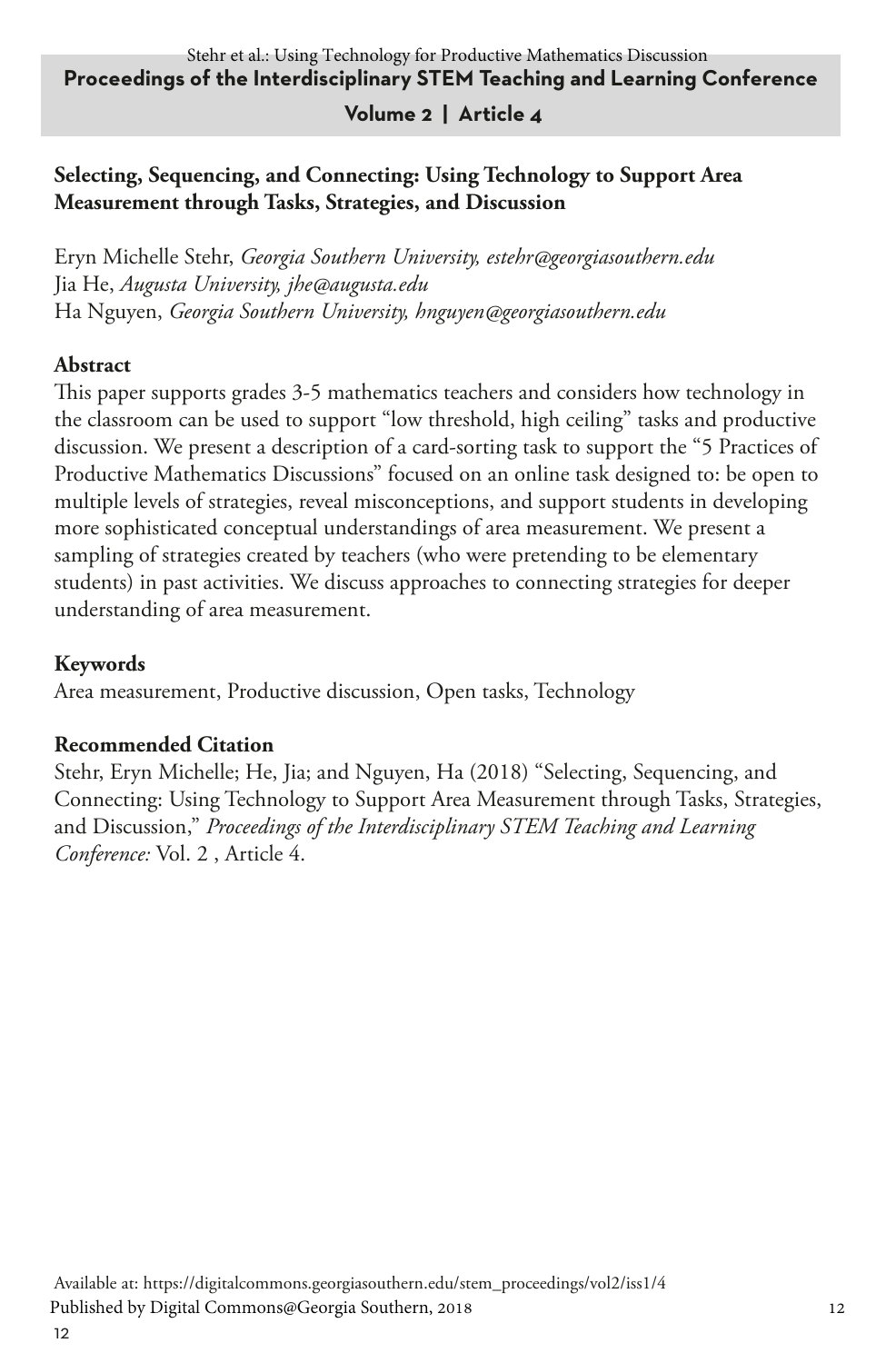# **Volume 2 | Article 4**

# **Selecting, Sequencing, and Connecting: Using Technology to Support Area Measurement through Tasks, Strategies, and Discussion**

Eryn Michelle Stehr, *Georgia Southern University, estehr@georgiasouthern.edu* Jia He, *Augusta University, jhe@augusta.edu* Ha Nguyen, *Georgia Southern University, hnguyen@georgiasouthern.edu*

## **Abstract**

This paper supports grades 3-5 mathematics teachers and considers how technology in the classroom can be used to support "low threshold, high ceiling" tasks and productive discussion. We present a description of a card-sorting task to support the "5 Practices of Productive Mathematics Discussions" focused on an online task designed to: be open to multiple levels of strategies, reveal misconceptions, and support students in developing more sophisticated conceptual understandings of area measurement. We present a sampling of strategies created by teachers (who were pretending to be elementary students) in past activities. We discuss approaches to connecting strategies for deeper understanding of area measurement.

## **Keywords**

Area measurement, Productive discussion, Open tasks, Technology

## **Recommended Citation**

Stehr, Eryn Michelle; He, Jia; and Nguyen, Ha (2018) "Selecting, Sequencing, and Connecting: Using Technology to Support Area Measurement through Tasks, Strategies, and Discussion," *Proceedings of the Interdisciplinary STEM Teaching and Learning Conference:* Vol. 2 , Article 4.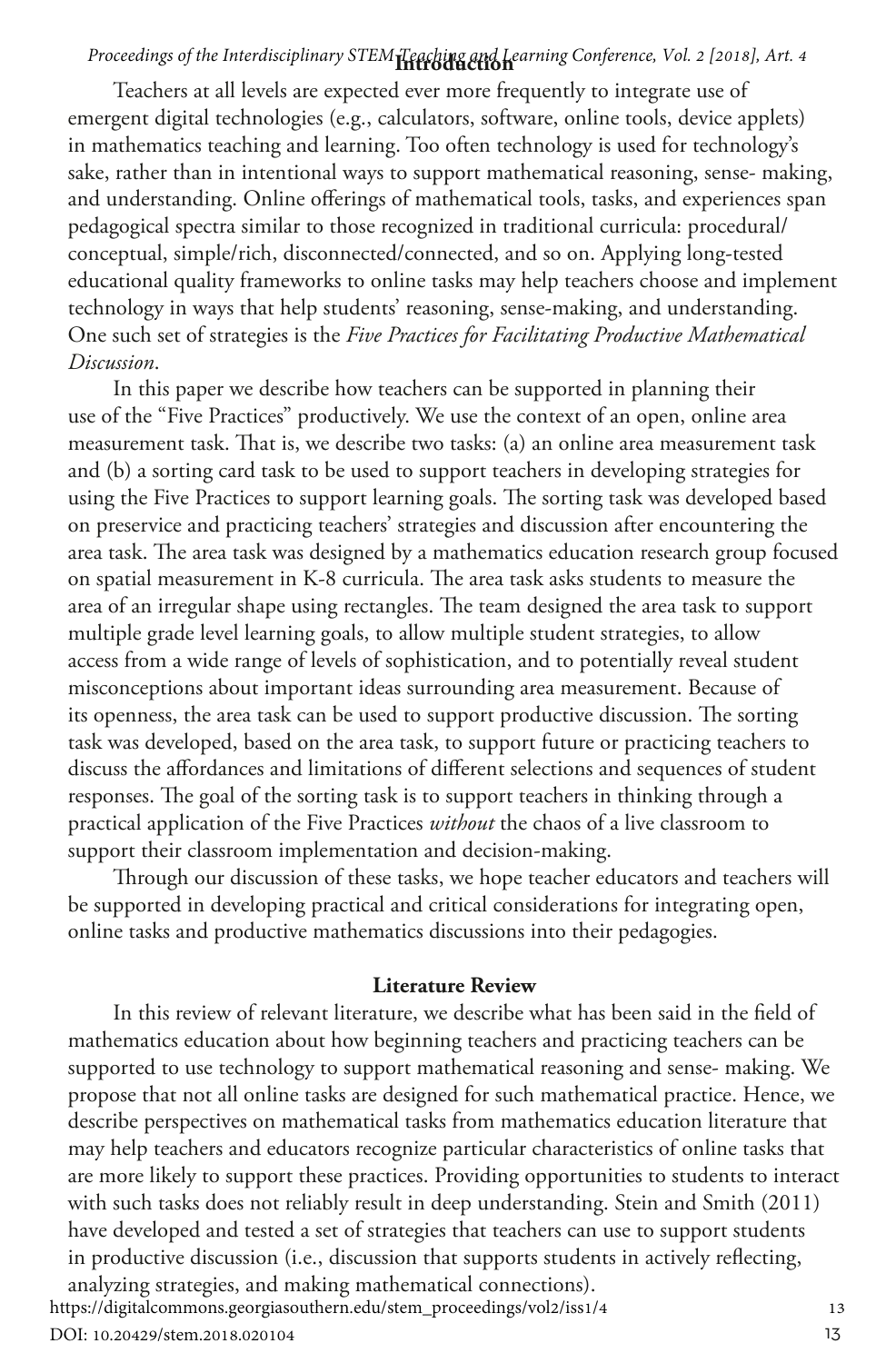# **Introduction** *Proceedings of the Interdisciplinary STEM Teaching and Learning Conference, Vol. 2 [2018], Art. 4*

Teachers at all levels are expected ever more frequently to integrate use of emergent digital technologies (e.g., calculators, software, online tools, device applets) in mathematics teaching and learning. Too often technology is used for technology's sake, rather than in intentional ways to support mathematical reasoning, sense- making, and understanding. Online offerings of mathematical tools, tasks, and experiences span pedagogical spectra similar to those recognized in traditional curricula: procedural/ conceptual, simple/rich, disconnected/connected, and so on. Applying long-tested educational quality frameworks to online tasks may help teachers choose and implement technology in ways that help students' reasoning, sense-making, and understanding. One such set of strategies is the *Five Practices for Facilitating Productive Mathematical Discussion*.

In this paper we describe how teachers can be supported in planning their use of the "Five Practices" productively. We use the context of an open, online area measurement task. That is, we describe two tasks: (a) an online area measurement task and (b) a sorting card task to be used to support teachers in developing strategies for using the Five Practices to support learning goals. The sorting task was developed based on preservice and practicing teachers' strategies and discussion after encountering the area task. The area task was designed by a mathematics education research group focused on spatial measurement in K-8 curricula. The area task asks students to measure the area of an irregular shape using rectangles. The team designed the area task to support multiple grade level learning goals, to allow multiple student strategies, to allow access from a wide range of levels of sophistication, and to potentially reveal student misconceptions about important ideas surrounding area measurement. Because of its openness, the area task can be used to support productive discussion. The sorting task was developed, based on the area task, to support future or practicing teachers to discuss the affordances and limitations of different selections and sequences of student responses. The goal of the sorting task is to support teachers in thinking through a practical application of the Five Practices *without* the chaos of a live classroom to support their classroom implementation and decision-making.

Through our discussion of these tasks, we hope teacher educators and teachers will be supported in developing practical and critical considerations for integrating open, online tasks and productive mathematics discussions into their pedagogies.

#### **Literature Review**

In this review of relevant literature, we describe what has been said in the field of mathematics education about how beginning teachers and practicing teachers can be supported to use technology to support mathematical reasoning and sense- making. We propose that not all online tasks are designed for such mathematical practice. Hence, we describe perspectives on mathematical tasks from mathematics education literature that may help teachers and educators recognize particular characteristics of online tasks that are more likely to support these practices. Providing opportunities to students to interact with such tasks does not reliably result in deep understanding. Stein and Smith (2011) have developed and tested a set of strategies that teachers can use to support students in productive discussion (i.e., discussion that supports students in actively reflecting, analyzing strategies, and making mathematical connections). <sup>13</sup>

https://digitalcommons.georgiasouthern.edu/stem\_proceedings/vol2/iss1/4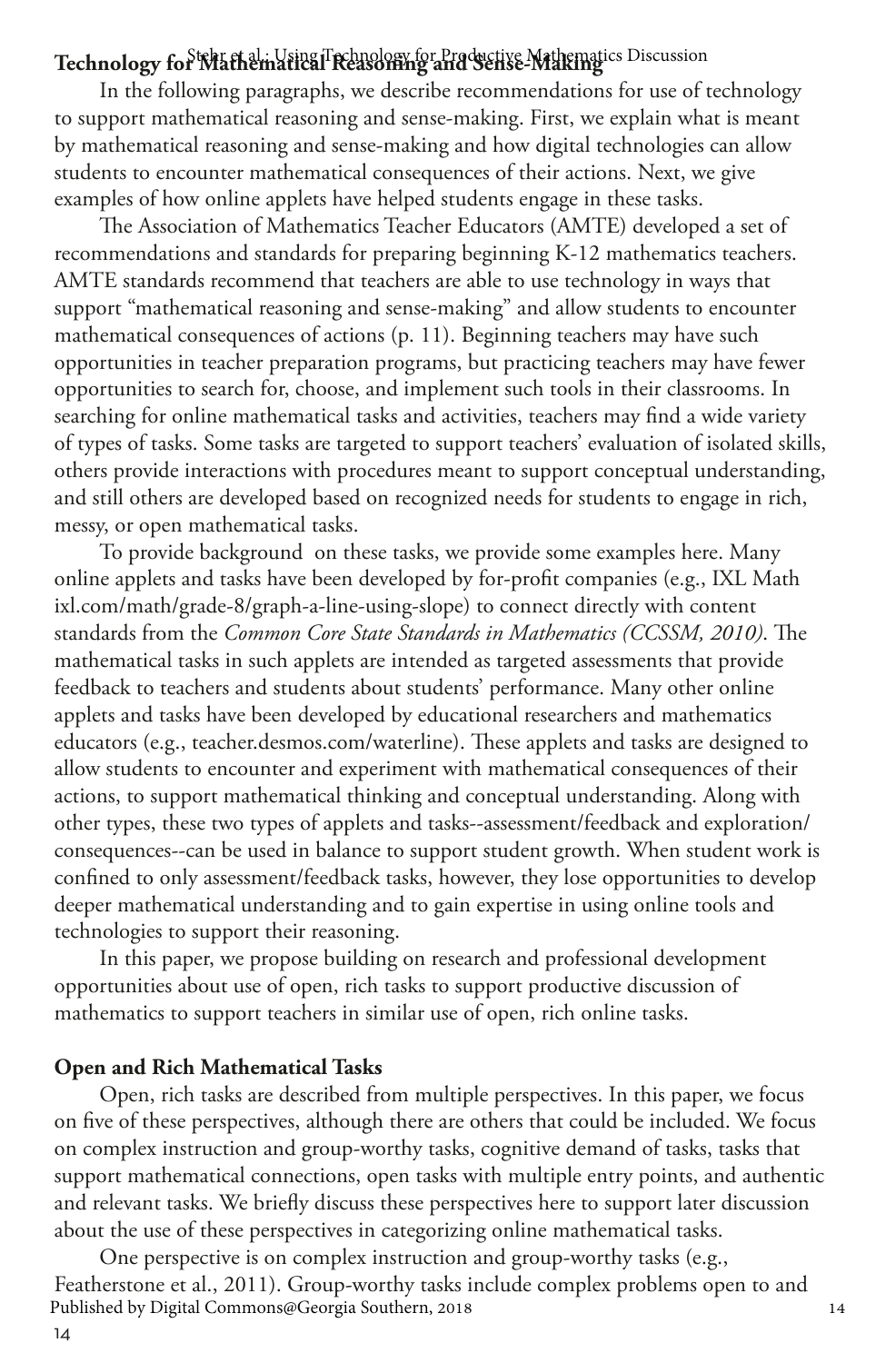# Technology for Mathematical Reasoning and Sense-Mathematics Discussion

In the following paragraphs, we describe recommendations for use of technology to support mathematical reasoning and sense-making. First, we explain what is meant by mathematical reasoning and sense-making and how digital technologies can allow students to encounter mathematical consequences of their actions. Next, we give examples of how online applets have helped students engage in these tasks.

The Association of Mathematics Teacher Educators (AMTE) developed a set of recommendations and standards for preparing beginning K-12 mathematics teachers. AMTE standards recommend that teachers are able to use technology in ways that support "mathematical reasoning and sense-making" and allow students to encounter mathematical consequences of actions (p. 11). Beginning teachers may have such opportunities in teacher preparation programs, but practicing teachers may have fewer opportunities to search for, choose, and implement such tools in their classrooms. In searching for online mathematical tasks and activities, teachers may find a wide variety of types of tasks. Some tasks are targeted to support teachers' evaluation of isolated skills, others provide interactions with procedures meant to support conceptual understanding, and still others are developed based on recognized needs for students to engage in rich, messy, or open mathematical tasks.

To provide background on these tasks, we provide some examples here. Many online applets and tasks have been developed by for-profit companies (e.g., IXL Math ixl.com/math/grade-8/graph-a-line-using-slope) to connect directly with content standards from the *Common Core State Standards in Mathematics (CCSSM, 2010)*. The mathematical tasks in such applets are intended as targeted assessments that provide feedback to teachers and students about students' performance. Many other online applets and tasks have been developed by educational researchers and mathematics educators (e.g., teacher.desmos.com/waterline). These applets and tasks are designed to allow students to encounter and experiment with mathematical consequences of their actions, to support mathematical thinking and conceptual understanding. Along with other types, these two types of applets and tasks--assessment/feedback and exploration/ consequences--can be used in balance to support student growth. When student work is confined to only assessment/feedback tasks, however, they lose opportunities to develop deeper mathematical understanding and to gain expertise in using online tools and technologies to support their reasoning.

In this paper, we propose building on research and professional development opportunities about use of open, rich tasks to support productive discussion of mathematics to support teachers in similar use of open, rich online tasks.

#### **Open and Rich Mathematical Tasks**

Open, rich tasks are described from multiple perspectives. In this paper, we focus on five of these perspectives, although there are others that could be included. We focus on complex instruction and group-worthy tasks, cognitive demand of tasks, tasks that support mathematical connections, open tasks with multiple entry points, and authentic and relevant tasks. We briefly discuss these perspectives here to support later discussion about the use of these perspectives in categorizing online mathematical tasks.

One perspective is on complex instruction and group-worthy tasks (e.g., Featherstone et al., 2011). Group-worthy tasks include complex problems open to and<br>Published by Digital Commons@Georgia Southern, 2018 Published by Digital Commons@Georgia Southern, 2018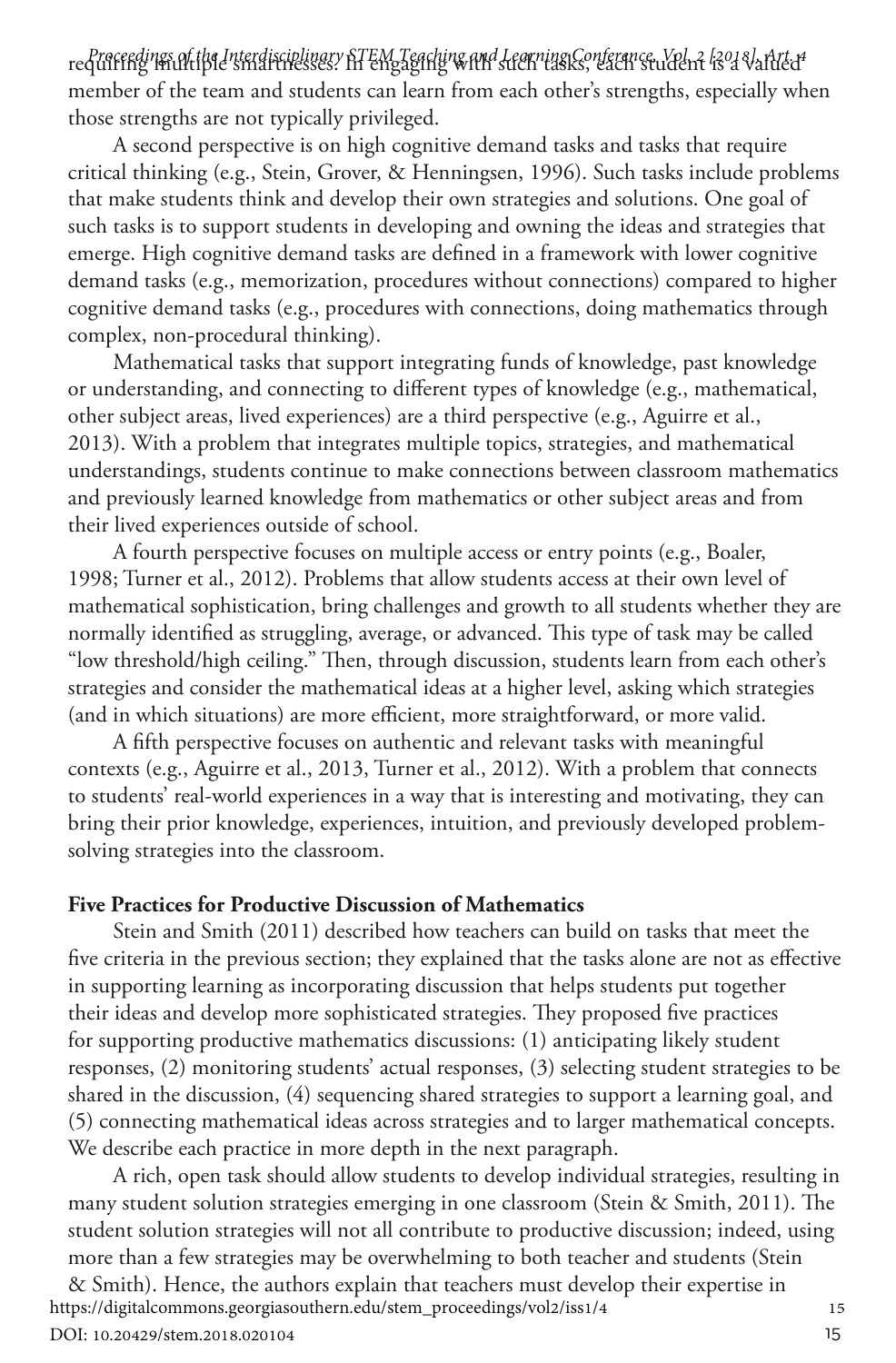requiring multiple smartnesses. In engaging with such tasks, each student is a valued *Proceedings of the Interdisciplinary STEM Teaching and Learning Conference, Vol. 2 [2018], Art. 4* member of the team and students can learn from each other's strengths, especially when those strengths are not typically privileged.

A second perspective is on high cognitive demand tasks and tasks that require critical thinking (e.g., Stein, Grover, & Henningsen, 1996). Such tasks include problems that make students think and develop their own strategies and solutions. One goal of such tasks is to support students in developing and owning the ideas and strategies that emerge. High cognitive demand tasks are defined in a framework with lower cognitive demand tasks (e.g., memorization, procedures without connections) compared to higher cognitive demand tasks (e.g., procedures with connections, doing mathematics through complex, non-procedural thinking).

Mathematical tasks that support integrating funds of knowledge, past knowledge or understanding, and connecting to different types of knowledge (e.g., mathematical, other subject areas, lived experiences) are a third perspective (e.g., Aguirre et al., 2013). With a problem that integrates multiple topics, strategies, and mathematical understandings, students continue to make connections between classroom mathematics and previously learned knowledge from mathematics or other subject areas and from their lived experiences outside of school.

A fourth perspective focuses on multiple access or entry points (e.g., Boaler, 1998; Turner et al., 2012). Problems that allow students access at their own level of mathematical sophistication, bring challenges and growth to all students whether they are normally identified as struggling, average, or advanced. This type of task may be called "low threshold/high ceiling." Then, through discussion, students learn from each other's strategies and consider the mathematical ideas at a higher level, asking which strategies (and in which situations) are more efficient, more straightforward, or more valid.

A fifth perspective focuses on authentic and relevant tasks with meaningful contexts (e.g., Aguirre et al., 2013, Turner et al., 2012). With a problem that connects to students' real-world experiences in a way that is interesting and motivating, they can bring their prior knowledge, experiences, intuition, and previously developed problemsolving strategies into the classroom.

#### **Five Practices for Productive Discussion of Mathematics**

Stein and Smith (2011) described how teachers can build on tasks that meet the five criteria in the previous section; they explained that the tasks alone are not as effective in supporting learning as incorporating discussion that helps students put together their ideas and develop more sophisticated strategies. They proposed five practices for supporting productive mathematics discussions: (1) anticipating likely student responses, (2) monitoring students' actual responses, (3) selecting student strategies to be shared in the discussion, (4) sequencing shared strategies to support a learning goal, and (5) connecting mathematical ideas across strategies and to larger mathematical concepts. We describe each practice in more depth in the next paragraph.

A rich, open task should allow students to develop individual strategies, resulting in many student solution strategies emerging in one classroom (Stein & Smith, 2011). The student solution strategies will not all contribute to productive discussion; indeed, using more than a few strategies may be overwhelming to both teacher and students (Stein

& Smith). Hence, the authors explain that teachers must develop their expertise in 15<br>tps://digitalcommons.georgiasouthern.edu/stem\_proceedings/vol2/iss1/4 https://digitalcommons.georgiasouthern.edu/stem\_proceedings/vol2/iss1/4 DOI: 10.20429/stem.2018.020104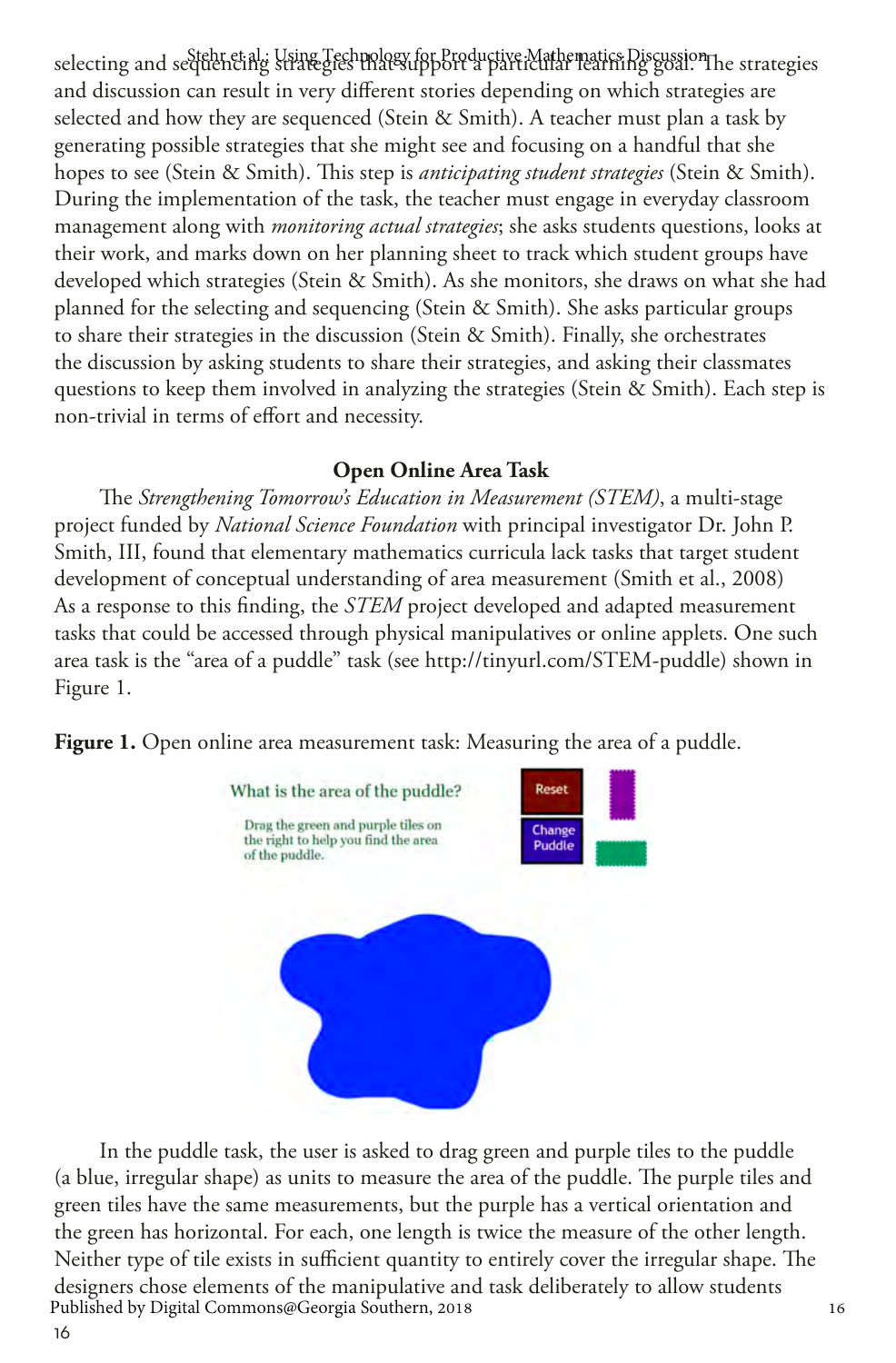selecting and sectebrie al.: Using Technology for Productive Mathematics Discussion<br>selecting and secteenting strategies mats upport a particular rearning goal. and discussion can result in very different stories depending on which strategies are selected and how they are sequenced (Stein & Smith). A teacher must plan a task by generating possible strategies that she might see and focusing on a handful that she hopes to see (Stein & Smith). This step is *anticipating student strategies* (Stein & Smith). During the implementation of the task, the teacher must engage in everyday classroom management along with *monitoring actual strategies*; she asks students questions, looks at their work, and marks down on her planning sheet to track which student groups have developed which strategies (Stein & Smith). As she monitors, she draws on what she had planned for the selecting and sequencing (Stein & Smith). She asks particular groups to share their strategies in the discussion (Stein & Smith). Finally, she orchestrates the discussion by asking students to share their strategies, and asking their classmates questions to keep them involved in analyzing the strategies (Stein & Smith). Each step is non-trivial in terms of effort and necessity.

#### **Open Online Area Task**

The *Strengthening Tomorrow's Education in Measurement (STEM)*, a multi-stage project funded by *National Science Foundation* with principal investigator Dr. John P. Smith, III, found that elementary mathematics curricula lack tasks that target student development of conceptual understanding of area measurement (Smith et al., 2008) As a response to this finding, the *STEM* project developed and adapted measurement tasks that could be accessed through physical manipulatives or online applets. One such area task is the "area of a puddle" task (see http://tinyurl.com/STEM-puddle) shown in Figure 1.

**Figure 1.** Open online area measurement task: Measuring the area of a puddle.



In the puddle task, the user is asked to drag green and purple tiles to the puddle (a blue, irregular shape) as units to measure the area of the puddle. The purple tiles and green tiles have the same measurements, but the purple has a vertical orientation and the green has horizontal. For each, one length is twice the measure of the other length. Neither type of tile exists in sufficient quantity to entirely cover the irregular shape. The designers chose elements of the manipulative and task deliberately to allow students <sup>16</sup> Published by Digital Commons@Georgia Southern, 2018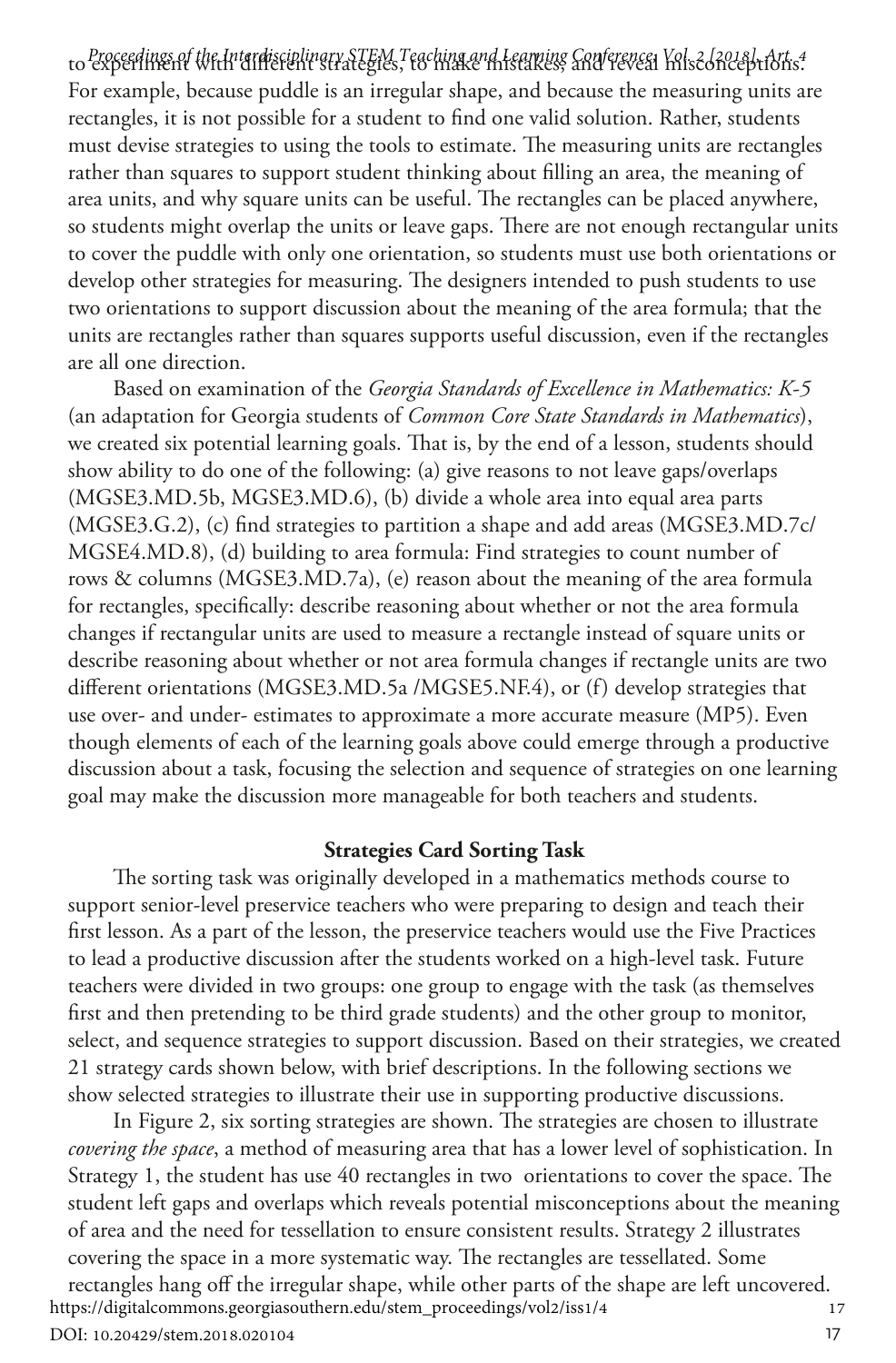to experiment with different strategies, to make mistakes, and reveal misconceptions. *Proceedings of the Interdisciplinary STEM Teaching and Learning Conference, Vol. 2 [2018], Art. 4* For example, because puddle is an irregular shape, and because the measuring units are rectangles, it is not possible for a student to find one valid solution. Rather, students must devise strategies to using the tools to estimate. The measuring units are rectangles rather than squares to support student thinking about filling an area, the meaning of area units, and why square units can be useful. The rectangles can be placed anywhere, so students might overlap the units or leave gaps. There are not enough rectangular units to cover the puddle with only one orientation, so students must use both orientations or develop other strategies for measuring. The designers intended to push students to use two orientations to support discussion about the meaning of the area formula; that the units are rectangles rather than squares supports useful discussion, even if the rectangles are all one direction.

Based on examination of the *Georgia Standards of Excellence in Mathematics: K-5* (an adaptation for Georgia students of *Common Core State Standards in Mathematics*), we created six potential learning goals. That is, by the end of a lesson, students should show ability to do one of the following: (a) give reasons to not leave gaps/overlaps (MGSE3.MD.5b, MGSE3.MD.6), (b) divide a whole area into equal area parts (MGSE3.G.2), (c) find strategies to partition a shape and add areas (MGSE3.MD.7c/ MGSE4.MD.8), (d) building to area formula: Find strategies to count number of rows & columns (MGSE3.MD.7a), (e) reason about the meaning of the area formula for rectangles, specifically: describe reasoning about whether or not the area formula changes if rectangular units are used to measure a rectangle instead of square units or describe reasoning about whether or not area formula changes if rectangle units are two different orientations (MGSE3.MD.5a /MGSE5.NF.4), or (f) develop strategies that use over- and under- estimates to approximate a more accurate measure (MP5). Even though elements of each of the learning goals above could emerge through a productive discussion about a task, focusing the selection and sequence of strategies on one learning goal may make the discussion more manageable for both teachers and students.

#### **Strategies Card Sorting Task**

The sorting task was originally developed in a mathematics methods course to support senior-level preservice teachers who were preparing to design and teach their first lesson. As a part of the lesson, the preservice teachers would use the Five Practices to lead a productive discussion after the students worked on a high-level task. Future teachers were divided in two groups: one group to engage with the task (as themselves first and then pretending to be third grade students) and the other group to monitor, select, and sequence strategies to support discussion. Based on their strategies, we created 21 strategy cards shown below, with brief descriptions. In the following sections we show selected strategies to illustrate their use in supporting productive discussions.

In Figure 2, six sorting strategies are shown. The strategies are chosen to illustrate *covering the space*, a method of measuring area that has a lower level of sophistication. In Strategy 1, the student has use 40 rectangles in two orientations to cover the space. The student left gaps and overlaps which reveals potential misconceptions about the meaning of area and the need for tessellation to ensure consistent results. Strategy 2 illustrates covering the space in a more systematic way. The rectangles are tessellated. Some rectangles hang off the irregular shape, while other parts of the shape are left uncovered. <sup>17</sup> https://digitalcommons.georgiasouthern.edu/stem\_proceedings/vol2/iss1/4

DOI: 10.20429/stem.2018.020104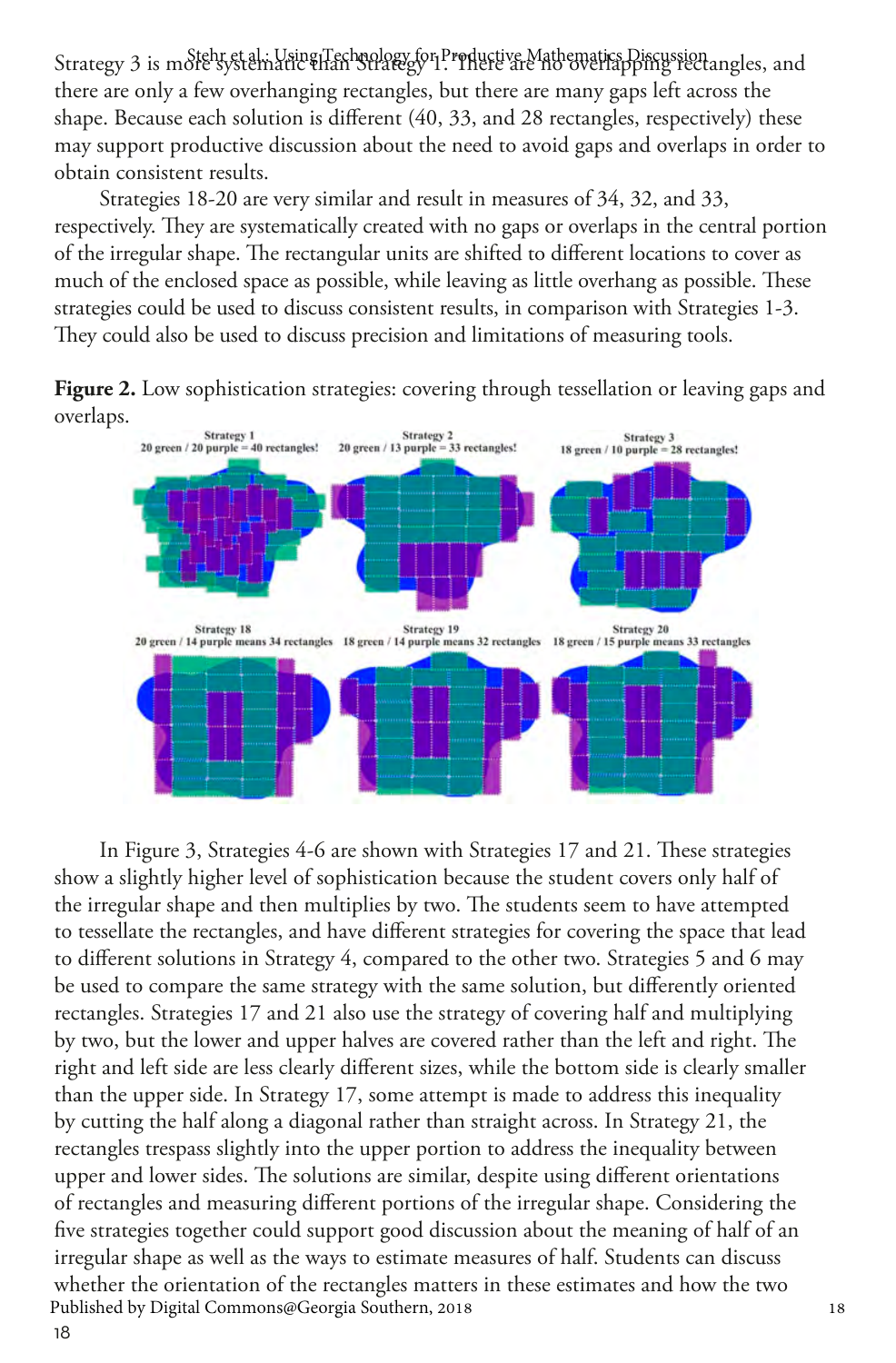Strategy 3 is mole systematic than Strategy for Productive Mathematics Discussion angles, and there are only a few overhanging rectangles, but there are many gaps left across the shape. Because each solution is different (40, 33, and 28 rectangles, respectively) these may support productive discussion about the need to avoid gaps and overlaps in order to obtain consistent results.

Strategies 18-20 are very similar and result in measures of 34, 32, and 33, respectively. They are systematically created with no gaps or overlaps in the central portion of the irregular shape. The rectangular units are shifted to different locations to cover as much of the enclosed space as possible, while leaving as little overhang as possible. These strategies could be used to discuss consistent results, in comparison with Strategies 1-3. They could also be used to discuss precision and limitations of measuring tools.

**Figure 2.** Low sophistication strategies: covering through tessellation or leaving gaps and overlaps.



18 In Figure 3, Strategies 4-6 are shown with Strategies 17 and 21. These strategies show a slightly higher level of sophistication because the student covers only half of the irregular shape and then multiplies by two. The students seem to have attempted to tessellate the rectangles, and have different strategies for covering the space that lead to different solutions in Strategy 4, compared to the other two. Strategies 5 and 6 may be used to compare the same strategy with the same solution, but differently oriented rectangles. Strategies 17 and 21 also use the strategy of covering half and multiplying by two, but the lower and upper halves are covered rather than the left and right. The right and left side are less clearly different sizes, while the bottom side is clearly smaller than the upper side. In Strategy 17, some attempt is made to address this inequality by cutting the half along a diagonal rather than straight across. In Strategy 21, the rectangles trespass slightly into the upper portion to address the inequality between upper and lower sides. The solutions are similar, despite using different orientations of rectangles and measuring different portions of the irregular shape. Considering the five strategies together could support good discussion about the meaning of half of an irregular shape as well as the ways to estimate measures of half. Students can discuss whether the orientation of the rectangles matters in these estimates and how the two<br>Published by Digital Commons@Georgia Southern, 2018 Published by Digital Commons@Georgia Southern, 2018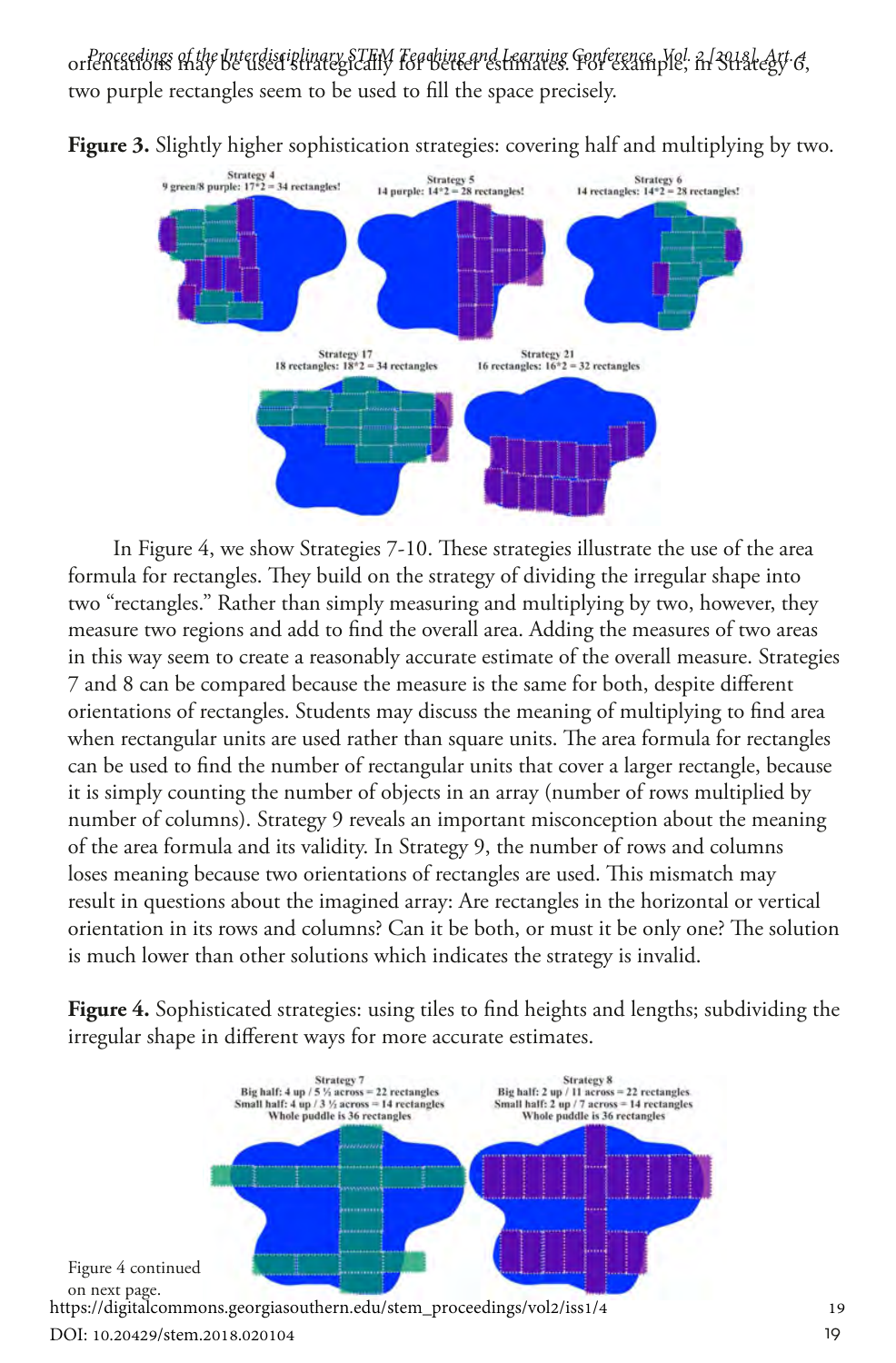or*fenceedings of the Interdisciplinary STEM Fearbing and Learning Conference, Yiel, In Strate&y, 6,* two purple rectangles seem to be used to fill the space precisely.



**Figure 3.** Slightly higher sophistication strategies: covering half and multiplying by two.

In Figure 4, we show Strategies 7-10. These strategies illustrate the use of the area formula for rectangles. They build on the strategy of dividing the irregular shape into two "rectangles." Rather than simply measuring and multiplying by two, however, they measure two regions and add to find the overall area. Adding the measures of two areas in this way seem to create a reasonably accurate estimate of the overall measure. Strategies 7 and 8 can be compared because the measure is the same for both, despite different orientations of rectangles. Students may discuss the meaning of multiplying to find area when rectangular units are used rather than square units. The area formula for rectangles can be used to find the number of rectangular units that cover a larger rectangle, because it is simply counting the number of objects in an array (number of rows multiplied by number of columns). Strategy 9 reveals an important misconception about the meaning of the area formula and its validity. In Strategy 9, the number of rows and columns loses meaning because two orientations of rectangles are used. This mismatch may result in questions about the imagined array: Are rectangles in the horizontal or vertical orientation in its rows and columns? Can it be both, or must it be only one? The solution is much lower than other solutions which indicates the strategy is invalid.

**Figure 4.** Sophisticated strategies: using tiles to find heights and lengths; subdividing the irregular shape in different ways for more accurate estimates.

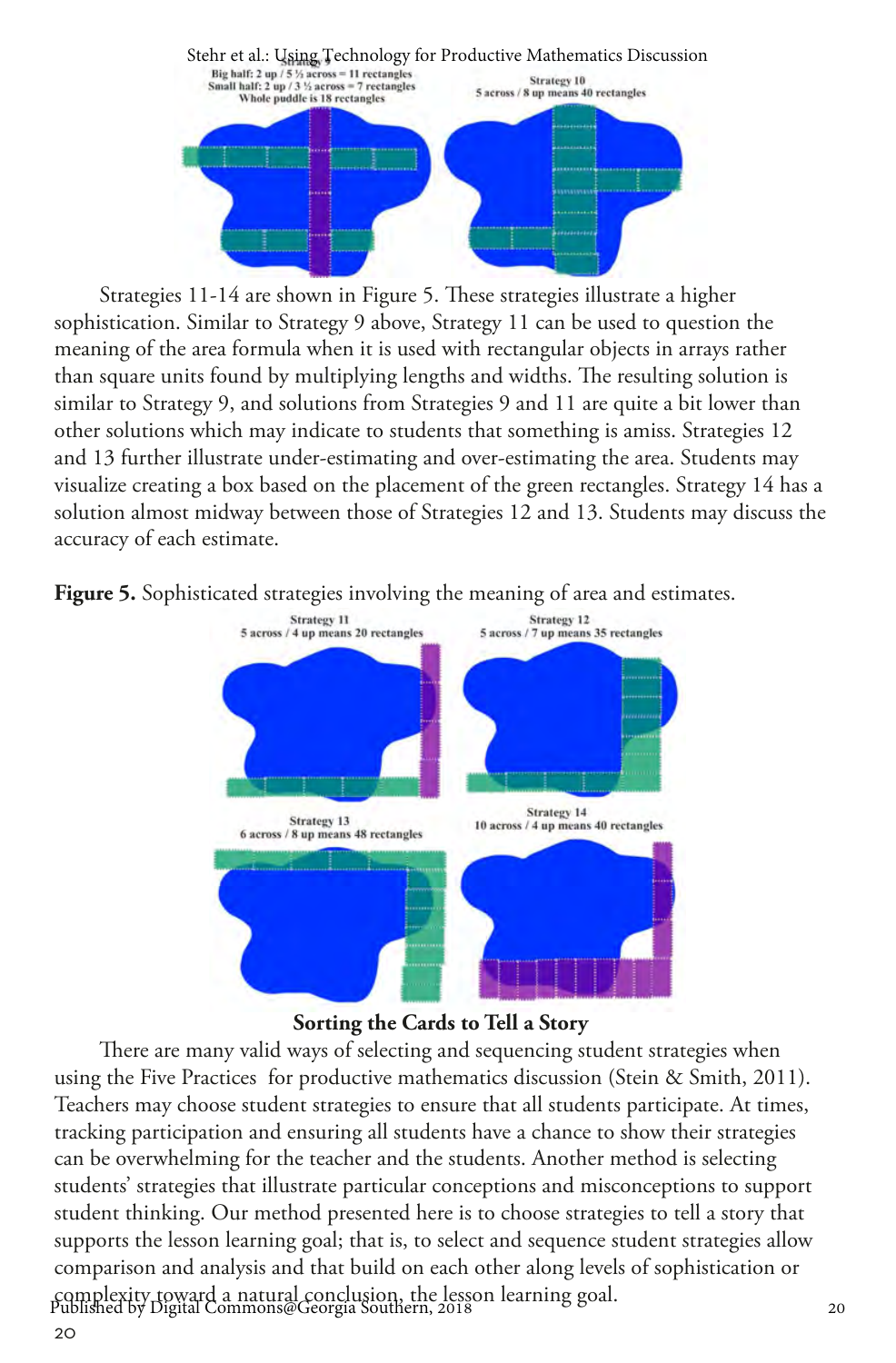

Strategies 11-14 are shown in Figure 5. These strategies illustrate a higher sophistication. Similar to Strategy 9 above, Strategy 11 can be used to question the meaning of the area formula when it is used with rectangular objects in arrays rather than square units found by multiplying lengths and widths. The resulting solution is similar to Strategy 9, and solutions from Strategies 9 and 11 are quite a bit lower than other solutions which may indicate to students that something is amiss. Strategies 12 and 13 further illustrate under-estimating and over-estimating the area. Students may visualize creating a box based on the placement of the green rectangles. Strategy 14 has a solution almost midway between those of Strategies 12 and 13. Students may discuss the accuracy of each estimate.





**Sorting the Cards to Tell a Story**

There are many valid ways of selecting and sequencing student strategies when using the Five Practices for productive mathematics discussion (Stein & Smith, 2011). Teachers may choose student strategies to ensure that all students participate. At times, tracking participation and ensuring all students have a chance to show their strategies can be overwhelming for the teacher and the students. Another method is selecting students' strategies that illustrate particular conceptions and misconceptions to support student thinking. Our method presented here is to choose strategies to tell a story that supports the lesson learning goal; that is, to select and sequence student strategies allow comparison and analysis and that build on each other along levels of sophistication or complexity toward a natural conclusion, the lesson learning goal. <sup>20</sup> Published by Digital Commons@Georgia Southern, 2018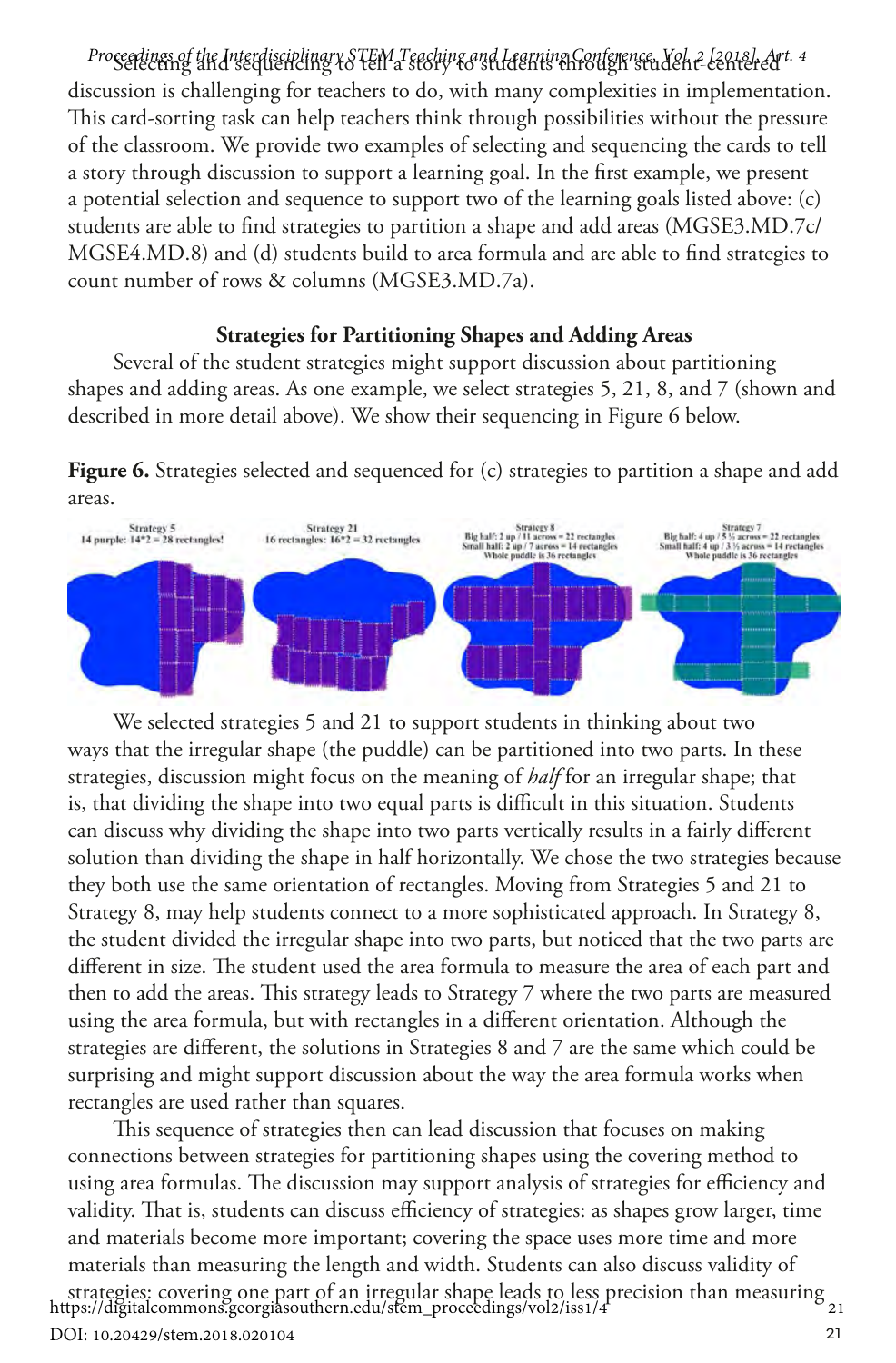Selecting and sequencing to tell a story to students through student-centered *Proceedings of the Interdisciplinary STEM Teaching and Learning Conference, Vol. 2 [2018], Art. 4* discussion is challenging for teachers to do, with many complexities in implementation. This card-sorting task can help teachers think through possibilities without the pressure of the classroom. We provide two examples of selecting and sequencing the cards to tell a story through discussion to support a learning goal. In the first example, we present a potential selection and sequence to support two of the learning goals listed above: (c) students are able to find strategies to partition a shape and add areas (MGSE3.MD.7c/ MGSE4.MD.8) and (d) students build to area formula and are able to find strategies to count number of rows & columns (MGSE3.MD.7a).

#### **Strategies for Partitioning Shapes and Adding Areas**

Several of the student strategies might support discussion about partitioning shapes and adding areas. As one example, we select strategies 5, 21, 8, and 7 (shown and described in more detail above). We show their sequencing in Figure 6 below.

**Figure 6.** Strategies selected and sequenced for (c) strategies to partition a shape and add areas.



We selected strategies 5 and 21 to support students in thinking about two ways that the irregular shape (the puddle) can be partitioned into two parts. In these strategies, discussion might focus on the meaning of *half* for an irregular shape; that is, that dividing the shape into two equal parts is difficult in this situation. Students can discuss why dividing the shape into two parts vertically results in a fairly different solution than dividing the shape in half horizontally. We chose the two strategies because they both use the same orientation of rectangles. Moving from Strategies 5 and 21 to Strategy 8, may help students connect to a more sophisticated approach. In Strategy 8, the student divided the irregular shape into two parts, but noticed that the two parts are different in size. The student used the area formula to measure the area of each part and then to add the areas. This strategy leads to Strategy 7 where the two parts are measured using the area formula, but with rectangles in a different orientation. Although the strategies are different, the solutions in Strategies 8 and 7 are the same which could be surprising and might support discussion about the way the area formula works when rectangles are used rather than squares.

This sequence of strategies then can lead discussion that focuses on making connections between strategies for partitioning shapes using the covering method to using area formulas. The discussion may support analysis of strategies for efficiency and validity. That is, students can discuss efficiency of strategies: as shapes grow larger, time and materials become more important; covering the space uses more time and more materials than measuring the length and width. Students can also discuss validity of

strategies: covering one part of an irregular shape leads to less precision than measuring <sup>21</sup> https://digitalcommons.georgiasouthern.edu/stem\_proceedings/vol2/iss1/4

DOI: 10.20429/stem.2018.020104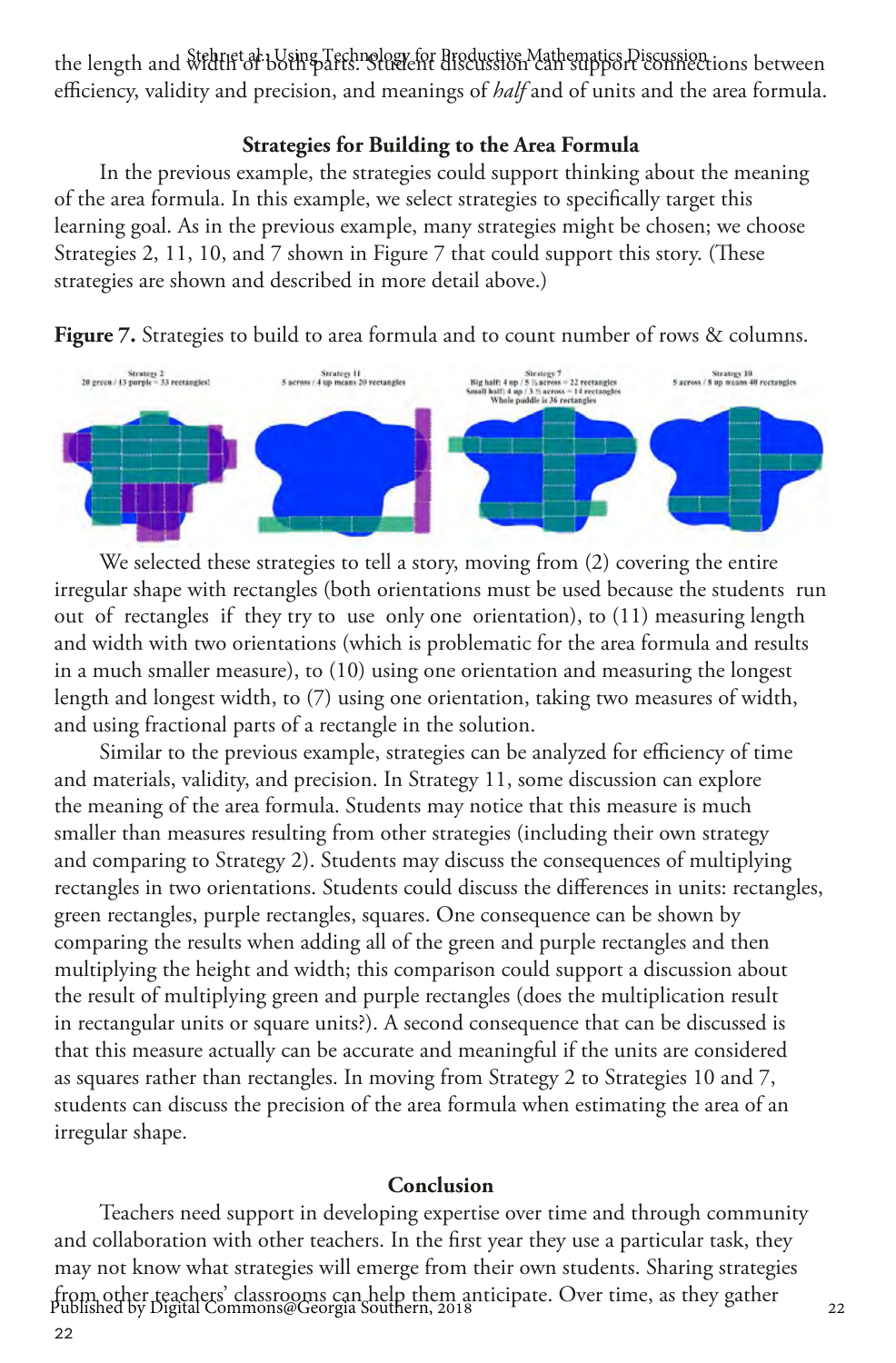the length and width of both parts. Student discussion can support connections between efficiency, validity and precision, and meanings of *half* and of units and the area formula.

#### **Strategies for Building to the Area Formula**

In the previous example, the strategies could support thinking about the meaning of the area formula. In this example, we select strategies to specifically target this learning goal. As in the previous example, many strategies might be chosen; we choose Strategies 2, 11, 10, and 7 shown in Figure 7 that could support this story. (These strategies are shown and described in more detail above.)





We selected these strategies to tell a story, moving from (2) covering the entire irregular shape with rectangles (both orientations must be used because the students run out of rectangles if they try to use only one orientation), to (11) measuring length and width with two orientations (which is problematic for the area formula and results in a much smaller measure), to (10) using one orientation and measuring the longest length and longest width, to (7) using one orientation, taking two measures of width, and using fractional parts of a rectangle in the solution.

Similar to the previous example, strategies can be analyzed for efficiency of time and materials, validity, and precision. In Strategy 11, some discussion can explore the meaning of the area formula. Students may notice that this measure is much smaller than measures resulting from other strategies (including their own strategy and comparing to Strategy 2). Students may discuss the consequences of multiplying rectangles in two orientations. Students could discuss the differences in units: rectangles, green rectangles, purple rectangles, squares. One consequence can be shown by comparing the results when adding all of the green and purple rectangles and then multiplying the height and width; this comparison could support a discussion about the result of multiplying green and purple rectangles (does the multiplication result in rectangular units or square units?). A second consequence that can be discussed is that this measure actually can be accurate and meaningful if the units are considered as squares rather than rectangles. In moving from Strategy 2 to Strategies 10 and 7, students can discuss the precision of the area formula when estimating the area of an irregular shape.

#### **Conclusion**

Teachers need support in developing expertise over time and through community and collaboration with other teachers. In the first year they use a particular task, they may not know what strategies will emerge from their own students. Sharing strategies from other teachers' classrooms can help them anticipate. Over time, as they gather <sup>22</sup> Published by Digital Commons@Georgia Southern, 2018